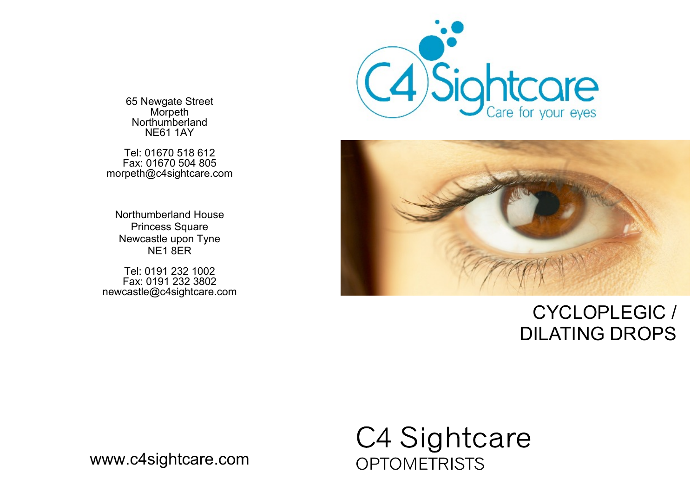65 Newgate Street **Morpeth** Northumberland NE61 1AY

Tel: 01670 518 612 Fax: 01670 504 805 morpeth@c4sightcare.com

Northumberland House Princess Square Newcastle upon Tyne NE1 8ER

Tel: 0191 232 1002 Fax: 0191 232 3802 newcastle@c4sightcare.com





## CYCLOPLEGIC / DILATING DROPS



www.c4sightcare.com